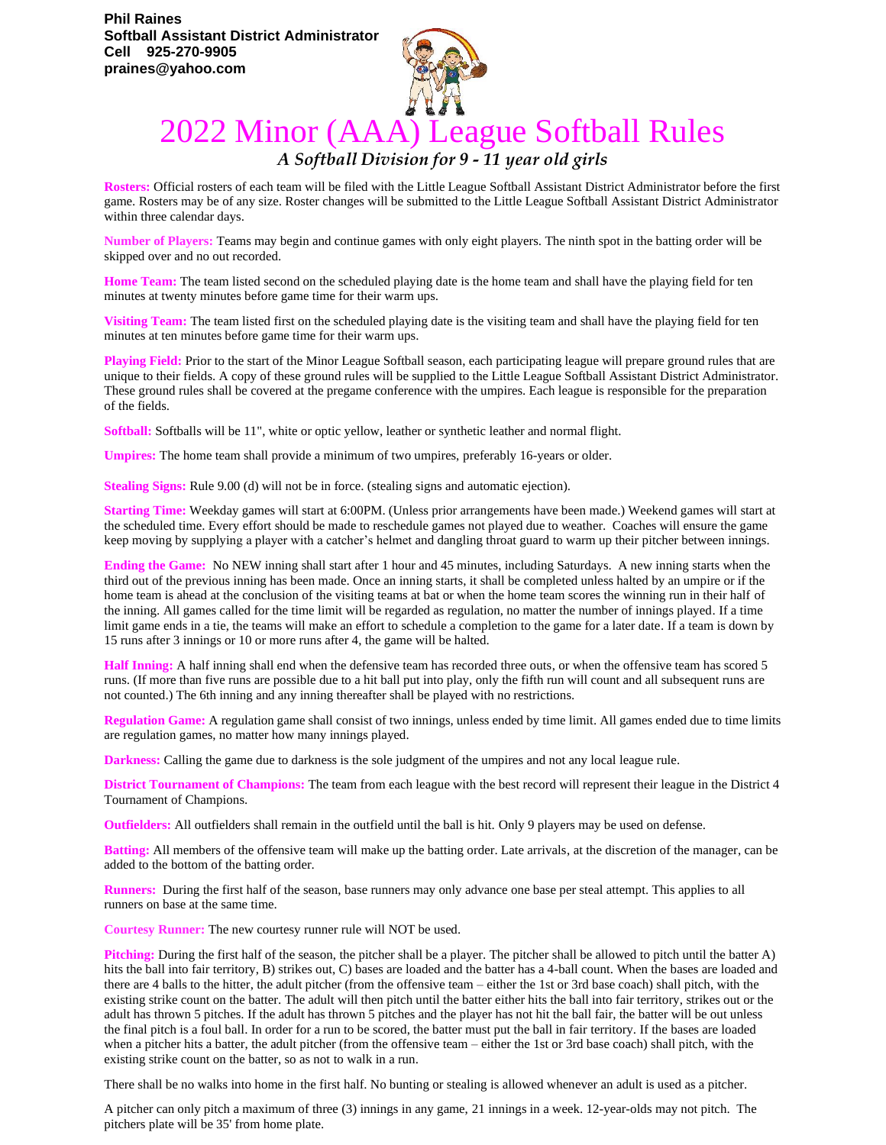

## 2022 Minor (AAA) League Softball Rules

## *A Softball Division for 9 - 11 year old girls*

**Rosters:** Official rosters of each team will be filed with the Little League Softball Assistant District Administrator before the first game. Rosters may be of any size. Roster changes will be submitted to the Little League Softball Assistant District Administrator within three calendar days.

**Number of Players:** Teams may begin and continue games with only eight players. The ninth spot in the batting order will be skipped over and no out recorded.

**Home Team:** The team listed second on the scheduled playing date is the home team and shall have the playing field for ten minutes at twenty minutes before game time for their warm ups.

**Visiting Team:** The team listed first on the scheduled playing date is the visiting team and shall have the playing field for ten minutes at ten minutes before game time for their warm ups.

**Playing Field:** Prior to the start of the Minor League Softball season, each participating league will prepare ground rules that are unique to their fields. A copy of these ground rules will be supplied to the Little League Softball Assistant District Administrator. These ground rules shall be covered at the pregame conference with the umpires. Each league is responsible for the preparation of the fields.

**Softball:** Softballs will be 11", white or optic yellow, leather or synthetic leather and normal flight.

**Umpires:** The home team shall provide a minimum of two umpires, preferably 16-years or older.

**Stealing Signs:** Rule 9.00 (d) will not be in force. (stealing signs and automatic ejection).

**Starting Time:** Weekday games will start at 6:00PM. (Unless prior arrangements have been made.) Weekend games will start at the scheduled time. Every effort should be made to reschedule games not played due to weather. Coaches will ensure the game keep moving by supplying a player with a catcher's helmet and dangling throat guard to warm up their pitcher between innings.

**Ending the Game:** No NEW inning shall start after 1 hour and 45 minutes, including Saturdays. A new inning starts when the third out of the previous inning has been made. Once an inning starts, it shall be completed unless halted by an umpire or if the home team is ahead at the conclusion of the visiting teams at bat or when the home team scores the winning run in their half of the inning. All games called for the time limit will be regarded as regulation, no matter the number of innings played. If a time limit game ends in a tie, the teams will make an effort to schedule a completion to the game for a later date. If a team is down by 15 runs after 3 innings or 10 or more runs after 4, the game will be halted.

**Half Inning:** A half inning shall end when the defensive team has recorded three outs, or when the offensive team has scored 5 runs. (If more than five runs are possible due to a hit ball put into play, only the fifth run will count and all subsequent runs are not counted.) The 6th inning and any inning thereafter shall be played with no restrictions.

**Regulation Game:** A regulation game shall consist of two innings, unless ended by time limit. All games ended due to time limits are regulation games, no matter how many innings played.

**Darkness:** Calling the game due to darkness is the sole judgment of the umpires and not any local league rule.

**District Tournament of Champions:** The team from each league with the best record will represent their league in the District 4 Tournament of Champions.

**Outfielders:** All outfielders shall remain in the outfield until the ball is hit. Only 9 players may be used on defense.

**Batting:** All members of the offensive team will make up the batting order. Late arrivals, at the discretion of the manager, can be added to the bottom of the batting order.

**Runners:** During the first half of the season, base runners may only advance one base per steal attempt. This applies to all runners on base at the same time.

**Courtesy Runner:** The new courtesy runner rule will NOT be used.

**Pitching:** During the first half of the season, the pitcher shall be a player. The pitcher shall be allowed to pitch until the batter A) hits the ball into fair territory, B) strikes out, C) bases are loaded and the batter has a 4-ball count. When the bases are loaded and there are 4 balls to the hitter, the adult pitcher (from the offensive team – either the 1st or 3rd base coach) shall pitch, with the existing strike count on the batter. The adult will then pitch until the batter either hits the ball into fair territory, strikes out or the adult has thrown 5 pitches. If the adult has thrown 5 pitches and the player has not hit the ball fair, the batter will be out unless the final pitch is a foul ball. In order for a run to be scored, the batter must put the ball in fair territory. If the bases are loaded when a pitcher hits a batter, the adult pitcher (from the offensive team – either the 1st or 3rd base coach) shall pitch, with the existing strike count on the batter, so as not to walk in a run.

There shall be no walks into home in the first half. No bunting or stealing is allowed whenever an adult is used as a pitcher.

A pitcher can only pitch a maximum of three (3) innings in any game, 21 innings in a week. 12-year-olds may not pitch. The pitchers plate will be 35' from home plate.